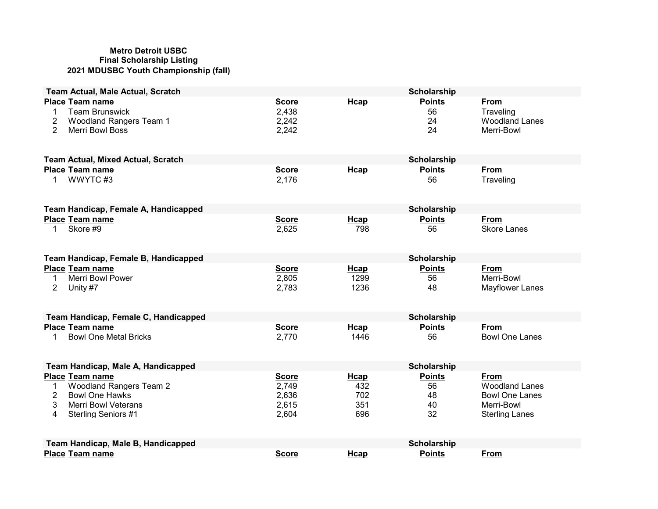#### Metro Detroit USBC Final Scholarship Listing 2021 MDUSBC Youth Championship (fall)

| <b>Team Actual, Male Actual, Scratch</b>                                                                                                                                |                                                  |                                          | Scholarship                           |                                                                                               |
|-------------------------------------------------------------------------------------------------------------------------------------------------------------------------|--------------------------------------------------|------------------------------------------|---------------------------------------|-----------------------------------------------------------------------------------------------|
| <b>Place Team name</b><br><b>Team Brunswick</b><br>1<br>2<br><b>Woodland Rangers Team 1</b><br>$\overline{2}$<br><b>Merri Bowl Boss</b>                                 | <b>Score</b><br>2,438<br>2,242<br>2,242          | Hcap                                     | <b>Points</b><br>56<br>24<br>24       | From<br>Traveling<br><b>Woodland Lanes</b><br>Merri-Bowl                                      |
| <b>Team Actual, Mixed Actual, Scratch</b>                                                                                                                               |                                                  |                                          | <b>Scholarship</b>                    |                                                                                               |
| <b>Place Team name</b><br>WWYTC#3<br>1                                                                                                                                  | <b>Score</b><br>2,176                            | Hcap                                     | <b>Points</b><br>56                   | From<br>Traveling                                                                             |
| Team Handicap, Female A, Handicapped                                                                                                                                    |                                                  |                                          | <b>Scholarship</b>                    |                                                                                               |
| <b>Place Team name</b><br>Skore #9<br>1                                                                                                                                 | <b>Score</b><br>2,625                            | Hcap<br>798                              | <b>Points</b><br>56                   | From<br><b>Skore Lanes</b>                                                                    |
| Team Handicap, Female B, Handicapped                                                                                                                                    |                                                  |                                          | <b>Scholarship</b>                    |                                                                                               |
| <b>Place Team name</b><br><b>Merri Bowl Power</b><br>1<br>$\overline{2}$<br>Unity #7                                                                                    | <b>Score</b><br>2,805<br>2,783                   | Hcap<br>1299<br>1236                     | <b>Points</b><br>56<br>48             | <b>From</b><br>Merri-Bowl<br>Mayflower Lanes                                                  |
| Team Handicap, Female C, Handicapped                                                                                                                                    |                                                  |                                          | <b>Scholarship</b>                    |                                                                                               |
| <b>Place Team name</b><br><b>Bowl One Metal Bricks</b><br>1                                                                                                             | <b>Score</b><br>2,770                            | <b>H</b> cap<br>1446                     | <b>Points</b><br>56                   | <b>From</b><br><b>Bowl One Lanes</b>                                                          |
| Team Handicap, Male A, Handicapped                                                                                                                                      |                                                  |                                          | <b>Scholarship</b>                    |                                                                                               |
| <b>Place Team name</b><br><b>Woodland Rangers Team 2</b><br>1<br>$\overline{2}$<br><b>Bowl One Hawks</b><br>3<br><b>Merri Bowl Veterans</b><br>Sterling Seniors #1<br>4 | <b>Score</b><br>2,749<br>2,636<br>2,615<br>2,604 | <b>H</b> cap<br>432<br>702<br>351<br>696 | <b>Points</b><br>56<br>48<br>40<br>32 | From<br><b>Woodland Lanes</b><br><b>Bowl One Lanes</b><br>Merri-Bowl<br><b>Sterling Lanes</b> |
| Team Handicap, Male B, Handicapped                                                                                                                                      |                                                  |                                          | Scholarship                           |                                                                                               |
| <b>Place Team name</b>                                                                                                                                                  | <b>Score</b>                                     | Hcap                                     | <b>Points</b>                         | <b>From</b>                                                                                   |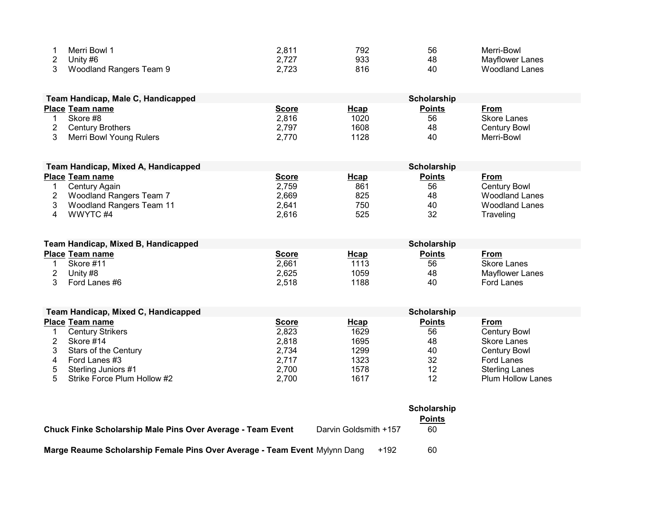| Merri Bowl 1            | 2,811 | 792 | 56 | Merri-Bowl            |
|-------------------------|-------|-----|----|-----------------------|
| Unity #6                |       | 933 | 48 | Mavflower Lanes       |
| Woodland Rangers Team 9 | 2,723 | 816 | 40 | <b>Woodland Lanes</b> |

| Team Handicap, Male C, Handicapped |                         |              | <b>Scholarship</b> |               |              |  |  |
|------------------------------------|-------------------------|--------------|--------------------|---------------|--------------|--|--|
|                                    | <b>Place Team name</b>  | <u>Score</u> | Hcap               | <b>Points</b> | From         |  |  |
|                                    | Skore #8                | 2,816        | 1020               | 56            | Skore Lanes  |  |  |
|                                    | <b>Century Brothers</b> | 2,797        | 1608               | 48            | Century Bowl |  |  |
|                                    | Merri Bowl Young Rulers | 2,770        | 1128               | 40            | Merri-Bowl   |  |  |

| Team Handicap, Mixed A, Handicapped |              |             | Scholarship   |                       |
|-------------------------------------|--------------|-------------|---------------|-----------------------|
| <b>Place Team name</b>              | <u>Score</u> | <b>Hcap</b> | <b>Points</b> | <u>From</u>           |
| Century Again                       | 2,759        | 861         | 56            | <b>Century Bowl</b>   |
| Woodland Rangers Team 7             | 2.669        | 825         | 48            | Woodland Lanes        |
| Woodland Rangers Team 11            | 2.641        | 750         | 40            | <b>Woodland Lanes</b> |
| WWYTC#4                             | 2,616        | 525         | 32            | Traveling             |

|                        | Team Handicap, Mixed B, Handicapped |              | <b>Scholarship</b> |               |                 |  |  |
|------------------------|-------------------------------------|--------------|--------------------|---------------|-----------------|--|--|
| <b>Place Team name</b> |                                     | <b>Score</b> | <u>Hcap</u>        | <b>Points</b> | From            |  |  |
|                        | Skore #11                           | 2,661        | 1113               | 56            | Skore Lanes     |  |  |
|                        | Unity #8                            | 2,625        | 1059               | 48            | Mayflower Lanes |  |  |
|                        | Ford Lanes #6                       | 2,518        | 1188               | 40            | Ford Lanes      |  |  |

|   | Team Handicap, Mixed C, Handicapped |              | Scholarship |               |                          |  |  |
|---|-------------------------------------|--------------|-------------|---------------|--------------------------|--|--|
|   | <b>Place Team name</b>              | <b>Score</b> | <u>Hcap</u> | <b>Points</b> | From                     |  |  |
|   | <b>Century Strikers</b>             | 2,823        | 1629        | 56            | <b>Century Bowl</b>      |  |  |
|   | Skore #14                           | 2,818        | 1695        | 48            | <b>Skore Lanes</b>       |  |  |
|   | <b>Stars of the Century</b>         | 2.734        | 1299        | 40            | Century Bowl             |  |  |
| 4 | Ford Lanes #3                       | 2.717        | 1323        | 32            | Ford Lanes               |  |  |
| 5 | Sterling Juniors #1                 | 2.700        | 1578        | 12            | Sterling Lanes           |  |  |
| 5 | Strike Force Plum Hollow #2         | 2.700        | 1617        | 12            | <b>Plum Hollow Lanes</b> |  |  |

|                                                                            |                       |  | Scholarship<br><b>Points</b> |
|----------------------------------------------------------------------------|-----------------------|--|------------------------------|
| Chuck Finke Scholarship Male Pins Over Average - Team Event                | Darvin Goldsmith +157 |  | 60                           |
| Marge Reaume Scholarship Female Pins Over Average - Team Event Mylynn Dang |                       |  | 60                           |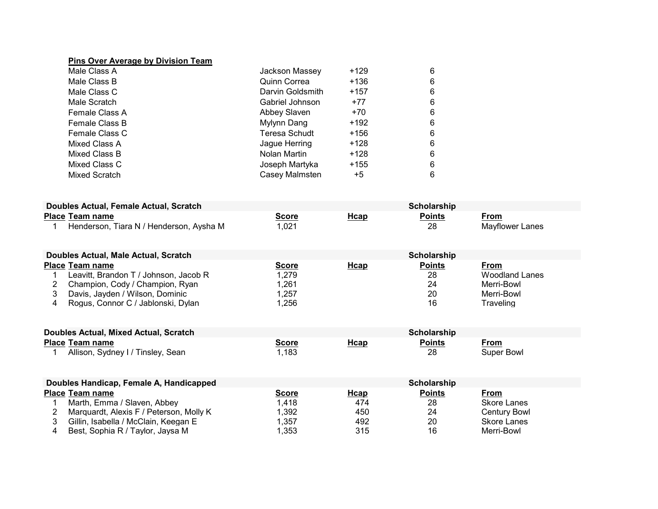### Pins Over Average by Division Team

| Male Class A   | Jackson Massey       | $+129$ | 6 |
|----------------|----------------------|--------|---|
| Male Class B   | <b>Quinn Correa</b>  | $+136$ | 6 |
| Male Class C   | Darvin Goldsmith     | $+157$ | 6 |
| Male Scratch   | Gabriel Johnson      | $+77$  | 6 |
| Female Class A | Abbey Slaven         | $+70$  | 6 |
| Female Class B | Mylynn Dang          | $+192$ | 6 |
| Female Class C | <b>Teresa Schudt</b> | +156   | 6 |
| Mixed Class A  | Jague Herring        | +128   | 6 |
| Mixed Class B  | Nolan Martin         | $+128$ | 6 |
| Mixed Class C  | Joseph Martyka       | $+155$ | 6 |
| Mixed Scratch  | Casey Malmsten       | $+5$   | 6 |

| Doubles Actual, Female Actual, Scratch |                                         |       |      |        |                 |
|----------------------------------------|-----------------------------------------|-------|------|--------|-----------------|
|                                        | <b>Place Team name</b>                  | Score | Hcap | Points | From            |
|                                        | Henderson, Tiara N / Henderson, Avsha M | ,021  |      | 28     | Mavflower Lanes |

| Doubles Actual, Male Actual, Scratch  |              | <b>Scholarship</b> |               |                |  |  |
|---------------------------------------|--------------|--------------------|---------------|----------------|--|--|
| <b>Place Team name</b>                | <b>Score</b> | <u>Hcap</u>        | <b>Points</b> | From           |  |  |
| Leavitt, Brandon T / Johnson, Jacob R | 1,279        |                    | 28            | Woodland Lanes |  |  |
| Champion, Cody / Champion, Ryan       | .261         |                    | 24            | Merri-Bowl     |  |  |
| Davis, Jayden / Wilson, Dominic       | ,257         |                    | 20            | Merri-Bowl     |  |  |
| Rogus, Connor C / Jablonski, Dylan    | ,256         |                    | 16            | Traveling      |  |  |

| Doubles Actual, Mixed Actual, Scratch | Scholarship  |             |                                                                     |            |
|---------------------------------------|--------------|-------------|---------------------------------------------------------------------|------------|
| <b>Place Team name</b>                | <u>Score</u> | <u>Hcap</u> | Points<br><u> 1980 - Johann Barnett, fransk politiker (d. 1980)</u> | From       |
| Allison, Sydney I / Tinsley, Sean     | ,183         |             | 28                                                                  | Super Bowl |

| Doubles Handicap, Female A, Handicapped |              |             | Scholarship   |              |
|-----------------------------------------|--------------|-------------|---------------|--------------|
| <b>Place Team name</b>                  | <u>Score</u> | <b>Hcap</b> | <b>Points</b> | From         |
| Marth, Emma / Slaven, Abbey             | 1,418        | 474         | 28            | Skore Lanes  |
| Marquardt, Alexis F / Peterson, Molly K | ,392         | 450         | 24            | Century Bowl |
| Gillin, Isabella / McClain, Keegan E    | ,357         | 492         | 20            | Skore Lanes  |
| Best, Sophia R / Taylor, Jaysa M        | l.353        | 315         | 16            | Merri-Bowl   |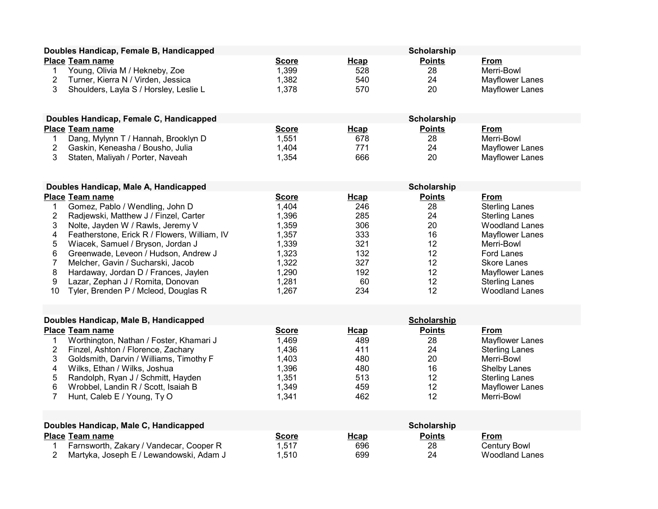| Doubles Handicap, Female B, Handicapped                                                                                                                                                                                                                                                                                                                                                                                                                                                                     |                                                                                                        |                                                                           | Scholarship                                                               |                                                                                                                                                                                                                                  |
|-------------------------------------------------------------------------------------------------------------------------------------------------------------------------------------------------------------------------------------------------------------------------------------------------------------------------------------------------------------------------------------------------------------------------------------------------------------------------------------------------------------|--------------------------------------------------------------------------------------------------------|---------------------------------------------------------------------------|---------------------------------------------------------------------------|----------------------------------------------------------------------------------------------------------------------------------------------------------------------------------------------------------------------------------|
| Place Team name<br>Young, Olivia M / Hekneby, Zoe<br>1<br>$\overline{c}$<br>Turner, Kierra N / Virden, Jessica<br>3<br>Shoulders, Layla S / Horsley, Leslie L                                                                                                                                                                                                                                                                                                                                               | <b>Score</b><br>1,399<br>1,382<br>1,378                                                                | Hcap<br>528<br>540<br>570                                                 | <b>Points</b><br>28<br>24<br>20                                           | From<br>Merri-Bowl<br>Mayflower Lanes<br>Mayflower Lanes                                                                                                                                                                         |
| Doubles Handicap, Female C, Handicapped                                                                                                                                                                                                                                                                                                                                                                                                                                                                     |                                                                                                        |                                                                           | Scholarship                                                               |                                                                                                                                                                                                                                  |
| Place Team name<br>Dang, Mylynn T / Hannah, Brooklyn D<br>$\mathbf{1}$<br>$\overline{2}$<br>Gaskin, Keneasha / Bousho, Julia<br>3<br>Staten, Maliyah / Porter, Naveah                                                                                                                                                                                                                                                                                                                                       | <b>Score</b><br>1,551<br>1,404<br>1,354                                                                | Hcap<br>678<br>771<br>666                                                 | <b>Points</b><br>28<br>24<br>20                                           | <b>From</b><br>Merri-Bowl<br>Mayflower Lanes<br>Mayflower Lanes                                                                                                                                                                  |
| Doubles Handicap, Male A, Handicapped                                                                                                                                                                                                                                                                                                                                                                                                                                                                       |                                                                                                        |                                                                           | <b>Scholarship</b>                                                        |                                                                                                                                                                                                                                  |
| <b>Place Team name</b><br>Gomez, Pablo / Wendling, John D<br>1<br>$\overline{c}$<br>Radjewski, Matthew J / Finzel, Carter<br>3<br>Nolte, Jayden W / Rawls, Jeremy V<br>4<br>Featherstone, Erick R / Flowers, William, IV<br>5<br>Wiacek, Samuel / Bryson, Jordan J<br>6<br>Greenwade, Leveon / Hudson, Andrew J<br>$\overline{7}$<br>Melcher, Gavin / Sucharski, Jacob<br>8<br>Hardaway, Jordan D / Frances, Jaylen<br>9<br>Lazar, Zephan J / Romita, Donovan<br>Tyler, Brenden P / Mcleod, Douglas R<br>10 | <b>Score</b><br>1,404<br>1,396<br>1,359<br>1,357<br>1,339<br>1,323<br>1,322<br>1,290<br>1,281<br>1,267 | Hcap<br>246<br>285<br>306<br>333<br>321<br>132<br>327<br>192<br>60<br>234 | <b>Points</b><br>28<br>24<br>20<br>16<br>12<br>12<br>12<br>12<br>12<br>12 | From<br><b>Sterling Lanes</b><br><b>Sterling Lanes</b><br><b>Woodland Lanes</b><br>Mayflower Lanes<br>Merri-Bowl<br><b>Ford Lanes</b><br><b>Skore Lanes</b><br>Mayflower Lanes<br><b>Sterling Lanes</b><br><b>Woodland Lanes</b> |
| Doubles Handicap, Male B, Handicapped                                                                                                                                                                                                                                                                                                                                                                                                                                                                       |                                                                                                        |                                                                           | Scholarship                                                               |                                                                                                                                                                                                                                  |
| <b>Place Team name</b><br>Worthington, Nathan / Foster, Khamari J<br>1<br>$\overline{2}$<br>Finzel, Ashton / Florence, Zachary<br>3<br>Goldsmith, Darvin / Williams, Timothy F<br>4<br>Wilks, Ethan / Wilks, Joshua<br>5<br>Randolph, Ryan J / Schmitt, Hayden<br>6<br>Wrobbel, Landin R / Scott, Isaiah B<br>$\overline{7}$<br>Hunt, Caleb E / Young, Ty O                                                                                                                                                 | <b>Score</b><br>1,469<br>1,436<br>1,403<br>1,396<br>1,351<br>1,349<br>1,341                            | Hcap<br>489<br>411<br>480<br>480<br>513<br>459<br>462                     | <b>Points</b><br>28<br>24<br>20<br>16<br>12<br>12<br>12                   | From<br>Mayflower Lanes<br><b>Sterling Lanes</b><br>Merri-Bowl<br><b>Shelby Lanes</b><br><b>Sterling Lanes</b><br><b>Mayflower Lanes</b><br>Merri-Bowl                                                                           |
| Doubles Handicap, Male C, Handicapped                                                                                                                                                                                                                                                                                                                                                                                                                                                                       |                                                                                                        |                                                                           | <b>Scholarship</b>                                                        |                                                                                                                                                                                                                                  |
| <b>Place Team name</b><br>Farnsworth, Zakary / Vandecar, Cooper R<br>1<br>$\overline{2}$<br>Martyka, Joseph E / Lewandowski, Adam J                                                                                                                                                                                                                                                                                                                                                                         | <b>Score</b><br>1,517<br>1,510                                                                         | Hcap<br>696<br>699                                                        | <b>Points</b><br>28<br>24                                                 | From<br><b>Century Bowl</b><br><b>Woodland Lanes</b>                                                                                                                                                                             |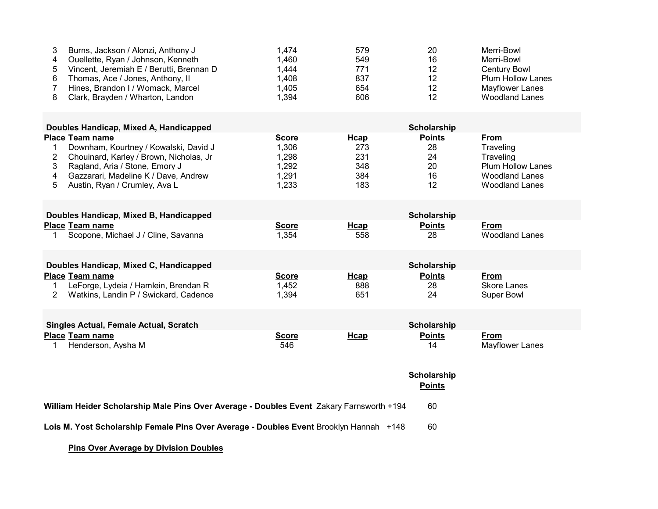| 3<br>Burns, Jackson / Alonzi, Anthony J<br>Ouellette, Ryan / Johnson, Kenneth<br>4<br>5<br>Vincent, Jeremiah E / Berutti, Brennan D<br>6<br>Thomas, Ace / Jones, Anthony, II<br>7<br>Hines, Brandon I / Womack, Marcel<br>8<br>Clark, Brayden / Wharton, Landon | 1,474<br>1,460<br>1,444<br>1,408<br>1,405<br>1,394        | 579<br>549<br>771<br>837<br>654<br>606  | 20<br>16<br>12<br>12<br>12<br>12            | Merri-Bowl<br>Merri-Bowl<br><b>Century Bowl</b><br><b>Plum Hollow Lanes</b><br><b>Mayflower Lanes</b><br><b>Woodland Lanes</b> |  |  |  |
|-----------------------------------------------------------------------------------------------------------------------------------------------------------------------------------------------------------------------------------------------------------------|-----------------------------------------------------------|-----------------------------------------|---------------------------------------------|--------------------------------------------------------------------------------------------------------------------------------|--|--|--|
| Doubles Handicap, Mixed A, Handicapped<br>Scholarship                                                                                                                                                                                                           |                                                           |                                         |                                             |                                                                                                                                |  |  |  |
| <b>Place Team name</b><br>Downham, Kourtney / Kowalski, David J<br>1<br>Chouinard, Karley / Brown, Nicholas, Jr<br>2<br>3<br>Ragland, Aria / Stone, Emory J<br>Gazzarari, Madeline K / Dave, Andrew<br>4<br>5<br>Austin, Ryan / Crumley, Ava L                  | <b>Score</b><br>1,306<br>1,298<br>1,292<br>1,291<br>1,233 | Hcap<br>273<br>231<br>348<br>384<br>183 | <b>Points</b><br>28<br>24<br>20<br>16<br>12 | <b>From</b><br>Traveling<br>Traveling<br><b>Plum Hollow Lanes</b><br><b>Woodland Lanes</b><br><b>Woodland Lanes</b>            |  |  |  |
| Doubles Handicap, Mixed B, Handicapped                                                                                                                                                                                                                          |                                                           |                                         | Scholarship                                 |                                                                                                                                |  |  |  |
| <b>Place Team name</b><br>Scopone, Michael J / Cline, Savanna<br>1                                                                                                                                                                                              | <b>Score</b><br>1,354                                     | <b>Hcap</b><br>558                      | <b>Points</b><br>28                         | From<br><b>Woodland Lanes</b>                                                                                                  |  |  |  |
| Doubles Handicap, Mixed C, Handicapped                                                                                                                                                                                                                          |                                                           |                                         | <b>Scholarship</b>                          |                                                                                                                                |  |  |  |
| <b>Place Team name</b><br>LeForge, Lydeia / Hamlein, Brendan R<br>1<br>Watkins, Landin P / Swickard, Cadence<br>2                                                                                                                                               | <b>Score</b><br>1,452<br>1,394                            | <b>Hcap</b><br>888<br>651               | <b>Points</b><br>28<br>24                   | From<br><b>Skore Lanes</b><br><b>Super Bowl</b>                                                                                |  |  |  |
| <b>Singles Actual, Female Actual, Scratch</b>                                                                                                                                                                                                                   |                                                           |                                         | Scholarship                                 |                                                                                                                                |  |  |  |
| <b>Place Team name</b><br>Henderson, Aysha M<br>1.                                                                                                                                                                                                              | <b>Score</b><br>546                                       | <b>H</b> cap                            | <b>Points</b><br>14                         | <b>From</b><br><b>Mayflower Lanes</b>                                                                                          |  |  |  |
| Scholarship<br><b>Points</b>                                                                                                                                                                                                                                    |                                                           |                                         |                                             |                                                                                                                                |  |  |  |
| William Heider Scholarship Male Pins Over Average - Doubles Event Zakary Farnsworth +194                                                                                                                                                                        |                                                           |                                         | 60                                          |                                                                                                                                |  |  |  |
| Lois M. Yost Scholarship Female Pins Over Average - Doubles Event Brooklyn Hannah +148                                                                                                                                                                          |                                                           |                                         | 60                                          |                                                                                                                                |  |  |  |

### Pins Over Average by Division Doubles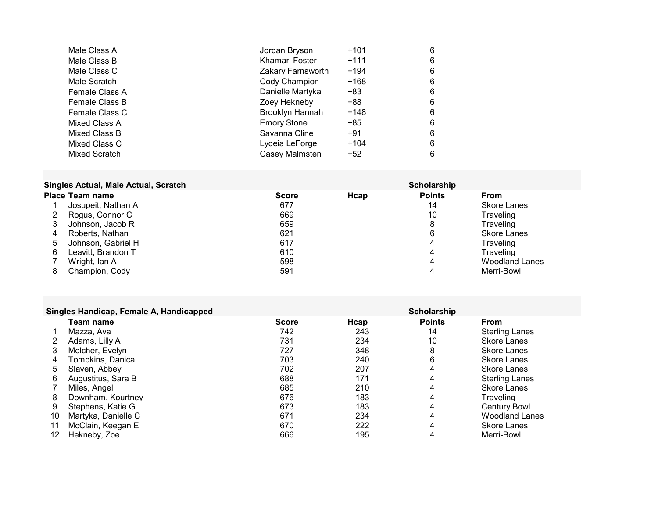| Male Class A   | Jordan Bryson      | $+101$ | 6 |
|----------------|--------------------|--------|---|
| Male Class B   | Khamari Foster     | $+111$ | 6 |
| Male Class C   | Zakary Farnsworth  | $+194$ | 6 |
| Male Scratch   | Cody Champion      | +168   | 6 |
| Female Class A | Danielle Martyka   | +83    | 6 |
| Female Class B | Zoey Hekneby       | +88    | 6 |
| Female Class C | Brooklyn Hannah    | $+148$ | 6 |
| Mixed Class A  | <b>Emory Stone</b> | +85    | 6 |
| Mixed Class B  | Savanna Cline      | $+91$  | 6 |
| Mixed Class C  | Lydeia LeForge     | $+104$ | 6 |
| Mixed Scratch  | Casey Malmsten     | $+52$  | 6 |

# Singles Actual, Male Actual, Scratch Scratch Scholarship Scholarship

|             | <b>Place Team name</b> | <b>Score</b> | <b>Hcap</b> | <b>Points</b> | From                  |
|-------------|------------------------|--------------|-------------|---------------|-----------------------|
|             | Josupeit, Nathan A     | 677          |             | 14            | <b>Skore Lanes</b>    |
|             | Rogus, Connor C        | 669          |             | 10            | Traveling             |
| 3           | Johnson, Jacob R       | 659          |             | 8             | Traveling             |
| 4           | Roberts, Nathan        | 621          |             | 6             | Skore Lanes           |
| $\mathbf b$ | Johnson, Gabriel H     | 617          |             | 4             | Traveling             |
| 6           | Leavitt, Brandon T     | 610          |             | 4             | Traveling             |
|             | Wright, Ian A          | 598          |             | 4             | <b>Woodland Lanes</b> |
| 8           | Champion, Cody         | 591          |             |               | Merri-Bowl            |

|    | Singles Handicap, Female A, Handicapped |              |             | Scholarship   |                       |
|----|-----------------------------------------|--------------|-------------|---------------|-----------------------|
|    | Team name                               | <b>Score</b> | <b>Hcap</b> | <b>Points</b> | From                  |
|    | Mazza. Ava                              | 742          | 243         | 14            | Sterling Lanes        |
|    | Adams, Lilly A                          | 731          | 234         | 10            | <b>Skore Lanes</b>    |
| 3  | Melcher, Evelyn                         | 727          | 348         | 8             | Skore Lanes           |
| 4  | Tompkins, Danica                        | 703          | 240         | 6             | Skore Lanes           |
| 5  | Slaven, Abbey                           | 702          | 207         | 4             | Skore Lanes           |
| 6  | Augustitus, Sara B                      | 688          | 171         | 4             | <b>Sterling Lanes</b> |
|    | Miles, Angel                            | 685          | 210         | 4             | Skore Lanes           |
| 8  | Downham, Kourtney                       | 676          | 183         | 4             | Traveling             |
| 9  | Stephens, Katie G                       | 673          | 183         | 4             | <b>Century Bowl</b>   |
| 10 | Martyka, Danielle C                     | 671          | 234         | 4             | <b>Woodland Lanes</b> |
| 11 | McClain, Keegan E                       | 670          | 222         | 4             | Skore Lanes           |
| 12 | Hekneby, Zoe                            | 666          | 195         | 4             | Merri-Bowl            |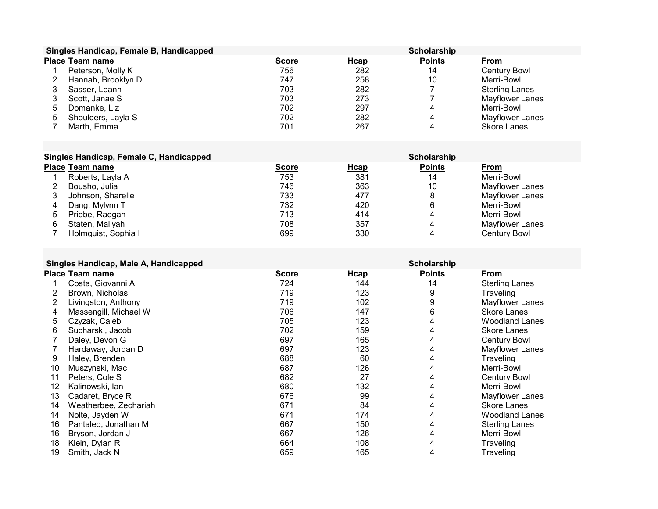|   | Singles Handicap, Female B, Handicapped |              |      | Scholarship   |                       |
|---|-----------------------------------------|--------------|------|---------------|-----------------------|
|   | <b>Place Team name</b>                  | <b>Score</b> | Hcap | <b>Points</b> | From                  |
|   | Peterson, Molly K                       | 756          | 282  | 14            | <b>Century Bowl</b>   |
|   | Hannah, Brooklyn D                      | 747          | 258  | 10            | Merri-Bowl            |
|   | Sasser, Leann                           | 703          | 282  |               | <b>Sterling Lanes</b> |
|   | Scott, Janae S                          | 703          | 273  |               | Mayflower Lanes       |
| b | Domanke, Liz                            | 702          | 297  | 4             | Merri-Bowl            |
| 5 | Shoulders, Layla S                      | 702          | 282  | 4             | Mayflower Lanes       |
|   | Marth, Emma                             | 701          | 267  | 4             | <b>Skore Lanes</b>    |

| Singles Handicap, Female C, Handicapped |
|-----------------------------------------|
|                                         |

|   | Singles Handicap, Female C, Handicapped |              |      | Scholarship   |                 |
|---|-----------------------------------------|--------------|------|---------------|-----------------|
|   | <b>Place Team name</b>                  | <b>Score</b> | Hcap | <b>Points</b> | From            |
|   | Roberts, Layla A                        | 753          | 381  | 14            | Merri-Bowl      |
|   | Bousho, Julia                           | 746          | 363  | 10            | Mayflower Lanes |
|   | Johnson, Sharelle                       | 733          | 477  | 8             | Mayflower Lanes |
| 4 | Dang, Mylynn T                          | 732          | 420  | 6             | Merri-Bowl      |
| 5 | Priebe, Raegan                          | 713          | 414  |               | Merri-Bowl      |
| 6 | Staten, Malivah                         | 708          | 357  |               | Mayflower Lanes |
|   | Holmquist, Sophia I                     | 699          | 330  |               | Century Bowl    |

| Singles Handicap, Male A, Handicapped |
|---------------------------------------|
|---------------------------------------|

|    | Singles Handicap, Male A, Handicapped |              |      | Scholarship   |                       |
|----|---------------------------------------|--------------|------|---------------|-----------------------|
|    | <b>Place Team name</b>                | <b>Score</b> | Hcap | <b>Points</b> | From                  |
|    | Costa, Giovanni A                     | 724          | 144  | 14            | <b>Sterling Lanes</b> |
| 2  | Brown, Nicholas                       | 719          | 123  | 9             | Traveling             |
| 2  | Livingston, Anthony                   | 719          | 102  | 9             | Mayflower Lanes       |
| 4  | Massengill, Michael W                 | 706          | 147  | 6             | Skore Lanes           |
| 5  | Czyzak, Caleb                         | 705          | 123  | 4             | <b>Woodland Lanes</b> |
| 6  | Sucharski, Jacob                      | 702          | 159  | 4             | <b>Skore Lanes</b>    |
|    | Daley, Devon G                        | 697          | 165  | 4             | <b>Century Bowl</b>   |
|    | Hardaway, Jordan D                    | 697          | 123  | 4             | Mayflower Lanes       |
| 9  | Haley, Brenden                        | 688          | 60   | 4             | Traveling             |
| 10 | Muszynski, Mac                        | 687          | 126  | 4             | Merri-Bowl            |
| 11 | Peters, Cole S                        | 682          | 27   | 4             | <b>Century Bowl</b>   |
| 12 | Kalinowski, lan                       | 680          | 132  | 4             | Merri-Bowl            |
| 13 | Cadaret, Bryce R                      | 676          | 99   | 4             | Mayflower Lanes       |
| 14 | Weatherbee, Zechariah                 | 671          | 84   | 4             | Skore Lanes           |
| 14 | Nolte, Jayden W                       | 671          | 174  | 4             | <b>Woodland Lanes</b> |
| 16 | Pantaleo, Jonathan M                  | 667          | 150  | 4             | <b>Sterling Lanes</b> |
| 16 | Bryson, Jordan J                      | 667          | 126  | 4             | Merri-Bowl            |
| 18 | Klein, Dylan R                        | 664          | 108  |               | Traveling             |
| 19 | Smith, Jack N                         | 659          | 165  | 4             | Traveling             |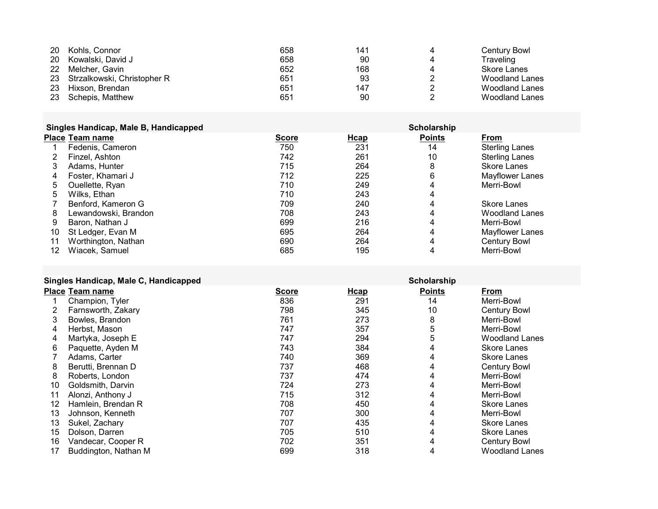|           | 20 Kohls, Connor               | 658 | 141 | Century Bowl   |
|-----------|--------------------------------|-----|-----|----------------|
|           | 20 Kowalski, David J           | 658 | 90  | Traveling      |
| <b>22</b> | Melcher. Gavin                 | 652 | 168 | Skore Lanes    |
|           | 23 Strzalkowski, Christopher R | 651 | 93  | Woodland Lanes |
| 23        | Hixson. Brendan                | 651 | 147 | Woodland Lanes |
|           | 23 Schepis, Matthew            | 651 | 90  | Woodland Lanes |

|    | Singles Handicap, Male B, Handicapped |              |      | Scholarship   |                       |
|----|---------------------------------------|--------------|------|---------------|-----------------------|
|    | Place Team name                       | <b>Score</b> | Hcap | <b>Points</b> | From                  |
|    | Fedenis, Cameron                      | 750          | 231  | 14            | Sterling Lanes        |
|    | Finzel. Ashton                        | 742          | 261  | 10            | <b>Sterling Lanes</b> |
|    | Adams, Hunter                         | 715          | 264  | 8             | Skore Lanes           |
| 4  | Foster, Khamari J                     | 712          | 225  | 6             | Mayflower Lanes       |
| 5  | Ouellette, Ryan                       | 710          | 249  | 4             | Merri-Bowl            |
| 5  | Wilks, Ethan                          | 710          | 243  | 4             |                       |
|    | Benford, Kameron G                    | 709          | 240  |               | Skore Lanes           |
| 8  | Lewandowski, Brandon                  | 708          | 243  | 4             | <b>Woodland Lanes</b> |
| 9  | Baron, Nathan J                       | 699          | 216  | 4             | Merri-Bowl            |
| 10 | St Ledger, Evan M                     | 695          | 264  |               | Mayflower Lanes       |
| 11 | Worthington, Nathan                   | 690          | 264  | 4             | Century Bowl          |
| 12 | Wiacek, Samuel                        | 685          | 195  | 4             | Merri-Bowl            |

## Singles Handicap, Male C. Handicapped Scholarship Scholarship

|    | <b>Place Team name</b> | <b>Score</b> | <b>H</b> cap | <b>Points</b> | <b>From</b>           |
|----|------------------------|--------------|--------------|---------------|-----------------------|
|    | Champion, Tyler        | 836          | 291          | 14            | Merri-Bowl            |
|    | Farnsworth, Zakary     | 798          | 345          | 10            | <b>Century Bowl</b>   |
| 3  | Bowles, Brandon        | 761          | 273          | 8             | Merri-Bowl            |
| 4  | Herbst. Mason          | 747          | 357          | 5             | Merri-Bowl            |
| 4  | Martyka, Joseph E      | 747          | 294          | 5             | <b>Woodland Lanes</b> |
| 6  | Paquette, Ayden M      | 743          | 384          | 4             | <b>Skore Lanes</b>    |
|    | Adams, Carter          | 740          | 369          | 4             | Skore Lanes           |
| 8  | Berutti, Brennan D     | 737          | 468          | 4             | <b>Century Bowl</b>   |
| 8  | Roberts, London        | 737          | 474          | 4             | Merri-Bowl            |
| 10 | Goldsmith, Darvin      | 724          | 273          | 4             | Merri-Bowl            |
| 11 | Alonzi. Anthony J      | 715          | 312          |               | Merri-Bowl            |
| 12 | Hamlein, Brendan R     | 708          | 450          |               | Skore Lanes           |
| 13 | Johnson, Kenneth       | 707          | 300          |               | Merri-Bowl            |
| 13 | Sukel, Zachary         | 707          | 435          |               | Skore Lanes           |
| 15 | Dolson, Darren         | 705          | 510          |               | Skore Lanes           |
| 16 | Vandecar, Cooper R     | 702          | 351          |               | <b>Century Bowl</b>   |
| 17 | Buddington, Nathan M   | 699          | 318          | 4             | <b>Woodland Lanes</b> |
|    |                        |              |              |               |                       |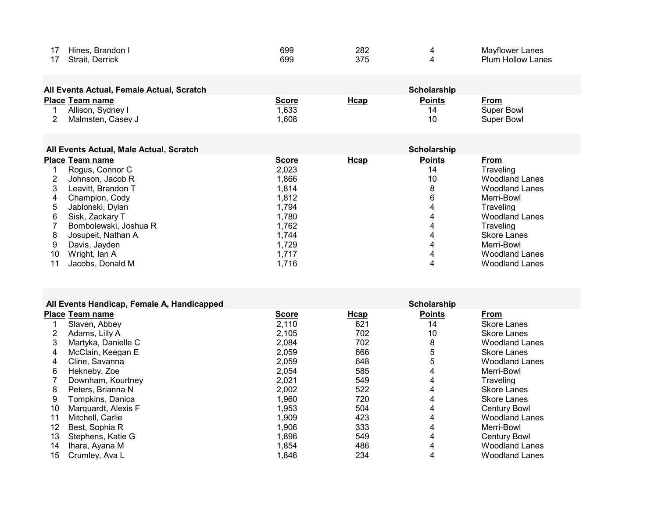| Hines, Brandon I  | 699 | 282 | Mayflower Lanes               |
|-------------------|-----|-----|-------------------------------|
| Derrick<br>Strait | 699 |     | <b>Plum</b><br>. Hollow Lanes |

| All Events Actual, Female Actual, Scratch<br><b>Scholarship</b> |                        |              |             |               |             |
|-----------------------------------------------------------------|------------------------|--------------|-------------|---------------|-------------|
|                                                                 | <b>Place Team name</b> | <u>Score</u> | <u>Hcap</u> | <b>Points</b> | <u>From</u> |
|                                                                 | Allison, Sydney I      | .633         |             | 14            | Super Bowl  |
|                                                                 | Malmsten. Casev J      | .608         |             | 10            | Super Bowl  |

|    | All Events Actual, Male Actual, Scratch |              |      | Scholarship   |                       |
|----|-----------------------------------------|--------------|------|---------------|-----------------------|
|    | <b>Place Team name</b>                  | <b>Score</b> | Hcap | <b>Points</b> | <b>From</b>           |
|    | Rogus, Connor C                         | 2.023        |      | 14            | Traveling             |
|    | Johnson, Jacob R                        | 1.866        |      | 10            | <b>Woodland Lanes</b> |
|    | Leavitt, Brandon T                      | 1,814        |      | 8             | <b>Woodland Lanes</b> |
| 4  | Champion, Cody                          | 1.812        |      | 6             | Merri-Bowl            |
| 5  | Jablonski, Dylan                        | 1.794        |      | 4             | Traveling             |
| 6  | Sisk, Zackary T                         | 1.780        |      | 4             | <b>Woodland Lanes</b> |
|    | Bombolewski, Joshua R                   | 1.762        |      | 4             | Traveling             |
| 8  | Josupeit, Nathan A                      | 1.744        |      | 4             | Skore Lanes           |
| 9  | Davis, Javden                           | 1,729        |      | 4             | Merri-Bowl            |
| 10 | Wright, Ian A                           | 1.717        |      | 4             | <b>Woodland Lanes</b> |
|    | Jacobs, Donald M                        | 1,716        |      | 4             | <b>Woodland Lanes</b> |

|    | All Events Handicap, Female A, Handicapped |              |              | Scholarship   |                       |
|----|--------------------------------------------|--------------|--------------|---------------|-----------------------|
|    | <b>Place Team name</b>                     | <b>Score</b> | <b>H</b> cap | <b>Points</b> | <b>From</b>           |
|    | Slaven, Abbey                              | 2,110        | 621          | 14            | <b>Skore Lanes</b>    |
|    | Adams, Lilly A                             | 2,105        | 702          | 10            | <b>Skore Lanes</b>    |
|    | Martyka, Danielle C                        | 2,084        | 702          | 8             | <b>Woodland Lanes</b> |
| 4  | McClain, Keegan E                          | 2,059        | 666          | 5             | <b>Skore Lanes</b>    |
| 4  | Cline, Savanna                             | 2,059        | 648          | 5             | <b>Woodland Lanes</b> |
| 6  | Hekneby, Zoe                               | 2,054        | 585          | 4             | Merri-Bowl            |
|    | Downham, Kourtney                          | 2,021        | 549          | 4             | <b>Traveling</b>      |
| 8  | Peters, Brianna N                          | 2,002        | 522          | 4             | <b>Skore Lanes</b>    |
| 9  | Tompkins, Danica                           | 1,960        | 720          | 4             | <b>Skore Lanes</b>    |
| 10 | Marquardt, Alexis F                        | 1,953        | 504          | 4             | <b>Century Bowl</b>   |
|    | Mitchell, Carlie                           | 1,909        | 423          | 4             | <b>Woodland Lanes</b> |
| 12 | Best, Sophia R                             | 1,906        | 333          | 4             | Merri-Bowl            |
| 13 | Stephens, Katie G                          | 1,896        | 549          | 4             | <b>Century Bowl</b>   |
| 14 | Ihara, Ayana M                             | 1,854        | 486          | 4             | <b>Woodland Lanes</b> |
| 15 | Crumley, Ava L                             | 1,846        | 234          | 4             | <b>Woodland Lanes</b> |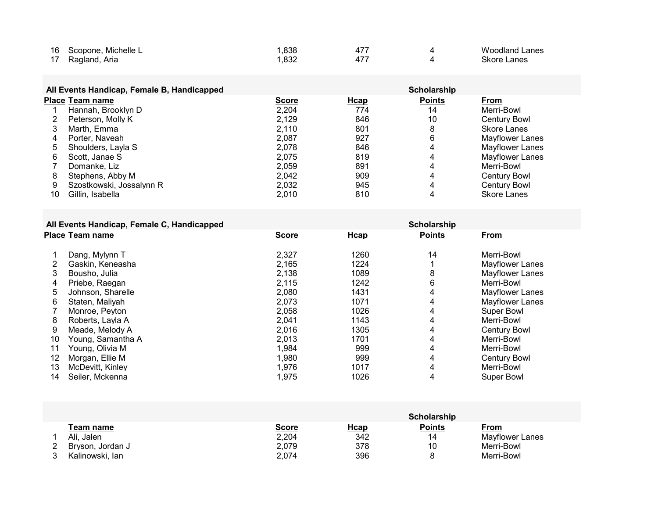|    | 16 Scopone, Michelle L | .838 | 47 | Woodland Lanes |
|----|------------------------|------|----|----------------|
| 17 | Ragland, Aria          | ,832 | 47 | Skore Lanes    |

### All Events Handicap, Female B, Handicapped Scholarship Scholarship

|    | <b>Place Team name</b>   | <b>Score</b> | Hcap | <b>Points</b> | From                |
|----|--------------------------|--------------|------|---------------|---------------------|
|    | Hannah, Brooklyn D       | 2,204        | 774  | 14            | Merri-Bowl          |
|    | Peterson, Molly K        | 2.129        | 846  | 10            | <b>Century Bowl</b> |
|    | Marth, Emma              | 2.110        | 801  |               | Skore Lanes         |
| 4  | Porter, Naveah           | 2,087        | 927  | 6             | Mayflower Lanes     |
| 5  | Shoulders, Layla S       | 2.078        | 846  | 4             | Mayflower Lanes     |
| 6  | Scott. Janae S           | 2.075        | 819  | 4             | Mayflower Lanes     |
|    | Domanke, Liz             | 2.059        | 891  | 4             | Merri-Bowl          |
| 8  | Stephens, Abby M         | 2,042        | 909  | 4             | <b>Century Bowl</b> |
| 9  | Szostkowski, Jossalynn R | 2,032        | 945  | 4             | <b>Century Bowl</b> |
| 10 | Gillin, Isabella         | 2.010        | 810  |               | <b>Skore Lanes</b>  |

### All Events Handicap, Female C, Handicapped Scholarship Scholarship

|                   | <b>Score</b>    | <b>H</b> cap | <b>Points</b> | From                |  |
|-------------------|-----------------|--------------|---------------|---------------------|--|
| Dang, Mylynn T    | 2,327           | 1260         | 14            | Merri-Bowl          |  |
| Gaskin, Keneasha  | 2,165           | 1224         |               | Mayflower Lanes     |  |
| Bousho, Julia     | 2,138           | 1089         | 8             | Mayflower Lanes     |  |
| Priebe, Raegan    | 2,115           | 1242         | 6             | Merri-Bowl          |  |
| Johnson, Sharelle | 2,080           | 1431         | 4             | Mayflower Lanes     |  |
| Staten, Maliyah   | 2,073           | 1071         | 4             | Mayflower Lanes     |  |
| Monroe, Peyton    | 2,058           | 1026         | 4             | <b>Super Bowl</b>   |  |
| Roberts, Layla A  | 2.041           | 1143         | 4             | Merri-Bowl          |  |
| Meade, Melody A   | 2,016           | 1305         | 4             | <b>Century Bowl</b> |  |
| Young. Samantha A | 2.013           | 1701         | 4             | Merri-Bowl          |  |
| Young, Olivia M   | 1,984           | 999          | 4             | Merri-Bowl          |  |
| Morgan, Ellie M   | 1,980           | 999          | 4             | <b>Century Bowl</b> |  |
| McDevitt, Kinlev  | 1,976           | 1017         | 4             | Merri-Bowl          |  |
| Seiler, Mckenna   | 1,975           | 1026         | 4             | <b>Super Bowl</b>   |  |
|                   | Place Team name |              |               |                     |  |

|                  |              |             | Scholarship   |                 |
|------------------|--------------|-------------|---------------|-----------------|
| Team name        | <u>Score</u> | <b>Hcap</b> | <u>Points</u> | <u>From</u>     |
| Ali. Jalen       | 2,204        | 342         | 14            | Mayflower Lanes |
| Bryson, Jordan J | 2,079        | 378         | 10            | Merri-Bowl      |
| Kalinowski, lan  | 2,074        | 396         | 8             | Merri-Bowl      |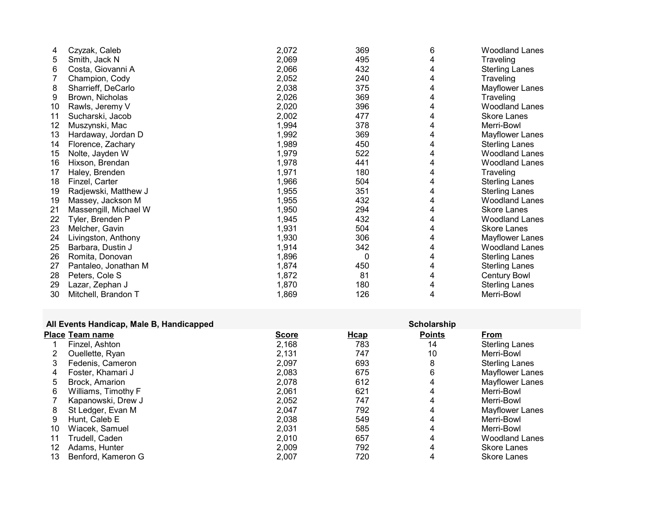| 4  | Czyzak, Caleb         | 2,072 | 369 | 6 | <b>Woodland Lanes</b> |
|----|-----------------------|-------|-----|---|-----------------------|
| 5  | Smith, Jack N         | 2,069 | 495 |   | Traveling             |
| 6  | Costa, Giovanni A     | 2,066 | 432 |   | <b>Sterling Lanes</b> |
|    | Champion, Cody        | 2,052 | 240 | 4 | Traveling             |
| 8  | Sharrieff, DeCarlo    | 2,038 | 375 | 4 | Mayflower Lanes       |
| 9  | Brown, Nicholas       | 2,026 | 369 | 4 | Traveling             |
| 10 | Rawls, Jeremy V       | 2,020 | 396 |   | <b>Woodland Lanes</b> |
| 11 | Sucharski, Jacob      | 2,002 | 477 |   | <b>Skore Lanes</b>    |
| 12 | Muszynski, Mac        | 1,994 | 378 |   | Merri-Bowl            |
| 13 | Hardaway, Jordan D    | 1,992 | 369 |   | Mayflower Lanes       |
| 14 | Florence, Zachary     | 1,989 | 450 | 4 | <b>Sterling Lanes</b> |
| 15 | Nolte, Jayden W       | 1,979 | 522 | 4 | <b>Woodland Lanes</b> |
| 16 | Hixson, Brendan       | 1,978 | 441 |   | <b>Woodland Lanes</b> |
| 17 | Haley, Brenden        | 1,971 | 180 | 4 | Traveling             |
| 18 | Finzel, Carter        | 1,966 | 504 | 4 | <b>Sterling Lanes</b> |
| 19 | Radjewski, Matthew J  | 1,955 | 351 |   | <b>Sterling Lanes</b> |
| 19 | Massey, Jackson M     | 1,955 | 432 | 4 | <b>Woodland Lanes</b> |
| 21 | Massengill, Michael W | 1,950 | 294 | 4 | <b>Skore Lanes</b>    |
| 22 | Tyler, Brenden P      | 1,945 | 432 | 4 | <b>Woodland Lanes</b> |
| 23 | Melcher, Gavin        | 1,931 | 504 | 4 | <b>Skore Lanes</b>    |
| 24 | Livingston, Anthony   | 1,930 | 306 | 4 | Mayflower Lanes       |
| 25 | Barbara, Dustin J     | 1,914 | 342 | 4 | <b>Woodland Lanes</b> |
| 26 | Romita, Donovan       | 1,896 | 0   | 4 | <b>Sterling Lanes</b> |
| 27 | Pantaleo, Jonathan M  | 1,874 | 450 | 4 | <b>Sterling Lanes</b> |
| 28 | Peters, Cole S        | 1,872 | 81  | 4 | <b>Century Bowl</b>   |
| 29 | Lazar, Zephan J       | 1,870 | 180 | 4 | <b>Sterling Lanes</b> |
| 30 | Mitchell, Brandon T   | 1,869 | 126 | 4 | Merri-Bowl            |

#### All Events Handicap, Male B, Handicapped Scholarship

|    | $1.41$ = $1.411$ , $1.411$ , $1.41$ , $1.41$ , $1.41$ , $1.411$ , $1.411$ , $1.411$ , $1.411$ , $1.411$ , $1.411$ , $1.411$ , $1.411$ , $1.411$ , $1.411$ , $1.411$ , $1.411$ , $1.411$ , $1.411$ , $1.411$ , $1.411$ , $1.411$ , $1.411$ , $1.411$ , |              |             | ------------  |                       |
|----|-------------------------------------------------------------------------------------------------------------------------------------------------------------------------------------------------------------------------------------------------------|--------------|-------------|---------------|-----------------------|
|    | <b>Place Team name</b>                                                                                                                                                                                                                                | <b>Score</b> | <b>Hcap</b> | <b>Points</b> | <b>From</b>           |
|    | Finzel, Ashton                                                                                                                                                                                                                                        | 2,168        | 783         | 14            | <b>Sterling Lanes</b> |
|    | Ouellette, Ryan                                                                                                                                                                                                                                       | 2,131        | 747         | 10            | Merri-Bowl            |
| 3  | Fedenis, Cameron                                                                                                                                                                                                                                      | 2,097        | 693         | 8             | <b>Sterling Lanes</b> |
| 4  | Foster, Khamari J                                                                                                                                                                                                                                     | 2,083        | 675         | 6             | Mayflower Lanes       |
| 5  | Brock, Amarion                                                                                                                                                                                                                                        | 2,078        | 612         | 4             | Mayflower Lanes       |
| 6  | Williams, Timothy F                                                                                                                                                                                                                                   | 2,061        | 621         | 4             | Merri-Bowl            |
|    | Kapanowski, Drew J                                                                                                                                                                                                                                    | 2,052        | 747         | 4             | Merri-Bowl            |
| 8  | St Ledger, Evan M                                                                                                                                                                                                                                     | 2.047        | 792         | 4             | Mayflower Lanes       |
| 9  | Hunt, Caleb E                                                                                                                                                                                                                                         | 2,038        | 549         | 4             | Merri-Bowl            |
| 10 | Wiacek, Samuel                                                                                                                                                                                                                                        | 2,031        | 585         | 4             | Merri-Bowl            |
| 11 | Trudell, Caden                                                                                                                                                                                                                                        | 2,010        | 657         | 4             | <b>Woodland Lanes</b> |
| 12 | Adams, Hunter                                                                                                                                                                                                                                         | 2,009        | 792         | 4             | <b>Skore Lanes</b>    |
| 13 | Benford, Kameron G                                                                                                                                                                                                                                    | 2,007        | 720         |               | <b>Skore Lanes</b>    |
|    |                                                                                                                                                                                                                                                       |              |             |               |                       |